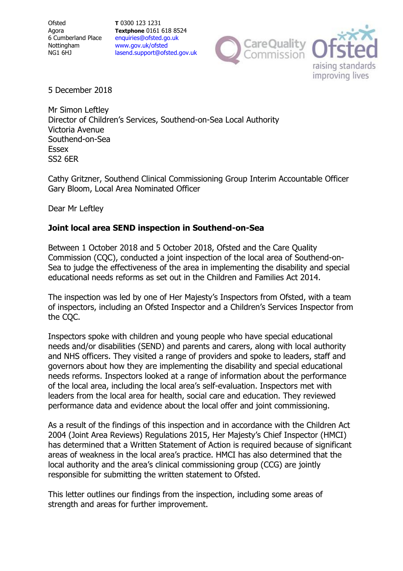**Ofsted** Agora 6 Cumberland Place Nottingham NG1 6HJ

**T** 0300 123 1231 **Textphone** 0161 618 8524 enquiries@ofsted.go.uk www.gov.uk/ofsted lasend.support@ofsted.gov.uk



5 December 2018

Mr Simon Leftley Director of Children's Services, Southend-on-Sea Local Authority Victoria Avenue Southend-on-Sea Essex SS2 6ER

Cathy Gritzner, Southend Clinical Commissioning Group Interim Accountable Officer Gary Bloom, Local Area Nominated Officer

Dear Mr Leftley

#### **Joint local area SEND inspection in Southend-on-Sea**

Between 1 October 2018 and 5 October 2018, Ofsted and the Care Quality Commission (CQC), conducted a joint inspection of the local area of Southend-on-Sea to judge the effectiveness of the area in implementing the disability and special educational needs reforms as set out in the Children and Families Act 2014.

The inspection was led by one of Her Majesty's Inspectors from Ofsted, with a team of inspectors, including an Ofsted Inspector and a Children's Services Inspector from the CQC.

Inspectors spoke with children and young people who have special educational needs and/or disabilities (SEND) and parents and carers, along with local authority and NHS officers. They visited a range of providers and spoke to leaders, staff and governors about how they are implementing the disability and special educational needs reforms. Inspectors looked at a range of information about the performance of the local area, including the local area's self-evaluation. Inspectors met with leaders from the local area for health, social care and education. They reviewed performance data and evidence about the local offer and joint commissioning.

As a result of the findings of this inspection and in accordance with the Children Act 2004 (Joint Area Reviews) Regulations 2015, Her Majesty's Chief Inspector (HMCI) has determined that a Written Statement of Action is required because of significant areas of weakness in the local area's practice. HMCI has also determined that the local authority and the area's clinical commissioning group (CCG) are jointly responsible for submitting the written statement to Ofsted.

This letter outlines our findings from the inspection, including some areas of strength and areas for further improvement.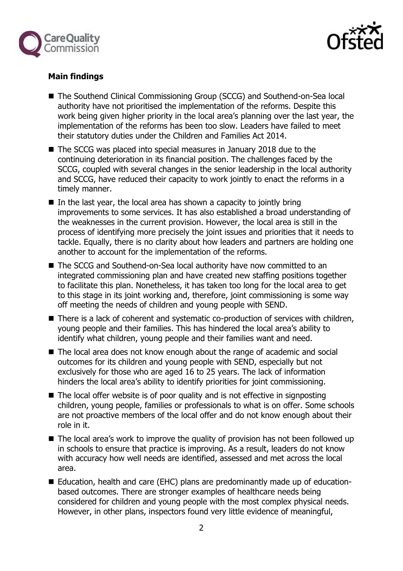



# **Main findings**

- The Southend Clinical Commissioning Group (SCCG) and Southend-on-Sea local authority have not prioritised the implementation of the reforms. Despite this work being given higher priority in the local area's planning over the last year, the implementation of the reforms has been too slow. Leaders have failed to meet their statutory duties under the Children and Families Act 2014.
- The SCCG was placed into special measures in January 2018 due to the continuing deterioration in its financial position. The challenges faced by the SCCG, coupled with several changes in the senior leadership in the local authority and SCCG, have reduced their capacity to work jointly to enact the reforms in a timely manner.
- $\blacksquare$  In the last year, the local area has shown a capacity to jointly bring improvements to some services. It has also established a broad understanding of the weaknesses in the current provision. However, the local area is still in the process of identifying more precisely the joint issues and priorities that it needs to tackle. Equally, there is no clarity about how leaders and partners are holding one another to account for the implementation of the reforms.
- The SCCG and Southend-on-Sea local authority have now committed to an integrated commissioning plan and have created new staffing positions together to facilitate this plan. Nonetheless, it has taken too long for the local area to get to this stage in its joint working and, therefore, joint commissioning is some way off meeting the needs of children and young people with SEND.
- There is a lack of coherent and systematic co-production of services with children, young people and their families. This has hindered the local area's ability to identify what children, young people and their families want and need.
- The local area does not know enough about the range of academic and social outcomes for its children and young people with SEND, especially but not exclusively for those who are aged 16 to 25 years. The lack of information hinders the local area's ability to identify priorities for joint commissioning.
- $\blacksquare$  The local offer website is of poor quality and is not effective in signposting children, young people, families or professionals to what is on offer. Some schools are not proactive members of the local offer and do not know enough about their role in it.
- The local area's work to improve the quality of provision has not been followed up in schools to ensure that practice is improving. As a result, leaders do not know with accuracy how well needs are identified, assessed and met across the local area.
- Education, health and care (EHC) plans are predominantly made up of educationbased outcomes. There are stronger examples of healthcare needs being considered for children and young people with the most complex physical needs. However, in other plans, inspectors found very little evidence of meaningful,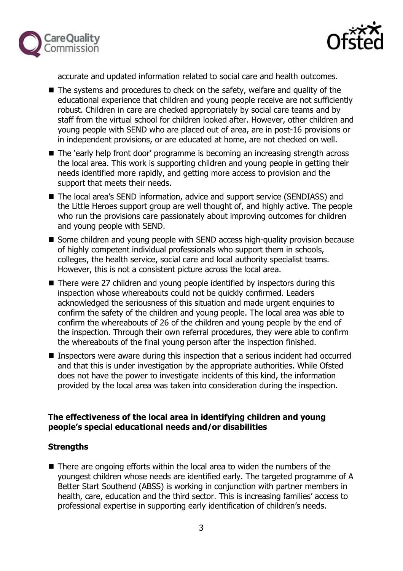



accurate and updated information related to social care and health outcomes.

- The systems and procedures to check on the safety, welfare and quality of the educational experience that children and young people receive are not sufficiently robust. Children in care are checked appropriately by social care teams and by staff from the virtual school for children looked after. However, other children and young people with SEND who are placed out of area, are in post-16 provisions or in independent provisions, or are educated at home, are not checked on well.
- The 'early help front door' programme is becoming an increasing strength across the local area. This work is supporting children and young people in getting their needs identified more rapidly, and getting more access to provision and the support that meets their needs.
- The local area's SEND information, advice and support service (SENDIASS) and the Little Heroes support group are well thought of, and highly active. The people who run the provisions care passionately about improving outcomes for children and young people with SEND.
- Some children and young people with SEND access high-quality provision because of highly competent individual professionals who support them in schools, colleges, the health service, social care and local authority specialist teams. However, this is not a consistent picture across the local area.
- There were 27 children and young people identified by inspectors during this inspection whose whereabouts could not be quickly confirmed. Leaders acknowledged the seriousness of this situation and made urgent enquiries to confirm the safety of the children and young people. The local area was able to confirm the whereabouts of 26 of the children and young people by the end of the inspection. Through their own referral procedures, they were able to confirm the whereabouts of the final young person after the inspection finished.
- Inspectors were aware during this inspection that a serious incident had occurred and that this is under investigation by the appropriate authorities. While Ofsted does not have the power to investigate incidents of this kind, the information provided by the local area was taken into consideration during the inspection.

# **The effectiveness of the local area in identifying children and young people's special educational needs and/or disabilities**

# **Strengths**

■ There are ongoing efforts within the local area to widen the numbers of the youngest children whose needs are identified early. The targeted programme of A Better Start Southend (ABSS) is working in conjunction with partner members in health, care, education and the third sector. This is increasing families' access to professional expertise in supporting early identification of children's needs.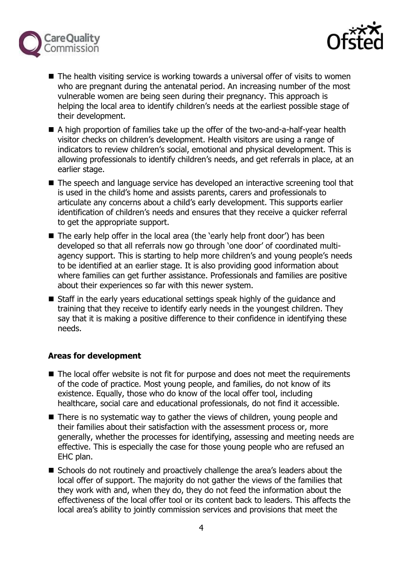



- The health visiting service is working towards a universal offer of visits to women who are pregnant during the antenatal period. An increasing number of the most vulnerable women are being seen during their pregnancy. This approach is helping the local area to identify children's needs at the earliest possible stage of their development.
- A high proportion of families take up the offer of the two-and-a-half-year health visitor checks on children's development. Health visitors are using a range of indicators to review children's social, emotional and physical development. This is allowing professionals to identify children's needs, and get referrals in place, at an earlier stage.
- The speech and language service has developed an interactive screening tool that is used in the child's home and assists parents, carers and professionals to articulate any concerns about a child's early development. This supports earlier identification of children's needs and ensures that they receive a quicker referral to get the appropriate support.
- The early help offer in the local area (the 'early help front door') has been developed so that all referrals now go through 'one door' of coordinated multiagency support. This is starting to help more children's and young people's needs to be identified at an earlier stage. It is also providing good information about where families can get further assistance. Professionals and families are positive about their experiences so far with this newer system.
- Staff in the early years educational settings speak highly of the guidance and training that they receive to identify early needs in the youngest children. They say that it is making a positive difference to their confidence in identifying these needs.

# **Areas for development**

- The local offer website is not fit for purpose and does not meet the requirements of the code of practice. Most young people, and families, do not know of its existence. Equally, those who do know of the local offer tool, including healthcare, social care and educational professionals, do not find it accessible.
- There is no systematic way to gather the views of children, young people and their families about their satisfaction with the assessment process or, more generally, whether the processes for identifying, assessing and meeting needs are effective. This is especially the case for those young people who are refused an EHC plan.
- Schools do not routinely and proactively challenge the area's leaders about the local offer of support. The majority do not gather the views of the families that they work with and, when they do, they do not feed the information about the effectiveness of the local offer tool or its content back to leaders. This affects the local area's ability to jointly commission services and provisions that meet the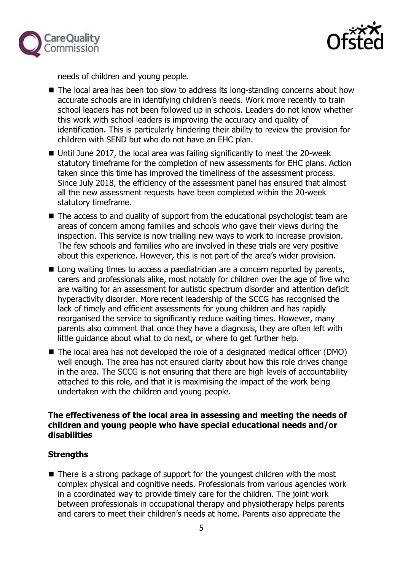



needs of children and young people.

- The local area has been too slow to address its long-standing concerns about how accurate schools are in identifying children's needs. Work more recently to train school leaders has not been followed up in schools. Leaders do not know whether this work with school leaders is improving the accuracy and quality of identification. This is particularly hindering their ability to review the provision for children with SEND but who do not have an EHC plan.
- Until June 2017, the local area was failing significantly to meet the 20-week statutory timeframe for the completion of new assessments for EHC plans. Action taken since this time has improved the timeliness of the assessment process. Since July 2018, the efficiency of the assessment panel has ensured that almost all the new assessment requests have been completed within the 20-week statutory timeframe.
- The access to and quality of support from the educational psychologist team are areas of concern among families and schools who gave their views during the inspection. This service is now trialling new ways to work to increase provision. The few schools and families who are involved in these trials are very positive about this experience. However, this is not part of the area's wider provision.
- Long waiting times to access a paediatrician are a concern reported by parents, carers and professionals alike, most notably for children over the age of five who are waiting for an assessment for autistic spectrum disorder and attention deficit hyperactivity disorder. More recent leadership of the SCCG has recognised the lack of timely and efficient assessments for young children and has rapidly reorganised the service to significantly reduce waiting times. However, many parents also comment that once they have a diagnosis, they are often left with little guidance about what to do next, or where to get further help.
- The local area has not developed the role of a designated medical officer (DMO) well enough. The area has not ensured clarity about how this role drives change in the area. The SCCG is not ensuring that there are high levels of accountability attached to this role, and that it is maximising the impact of the work being undertaken with the children and young people.

#### **The effectiveness of the local area in assessing and meeting the needs of children and young people who have special educational needs and/or disabilities**

# **Strengths**

■ There is a strong package of support for the youngest children with the most complex physical and cognitive needs. Professionals from various agencies work in a coordinated way to provide timely care for the children. The joint work between professionals in occupational therapy and physiotherapy helps parents and carers to meet their children's needs at home. Parents also appreciate the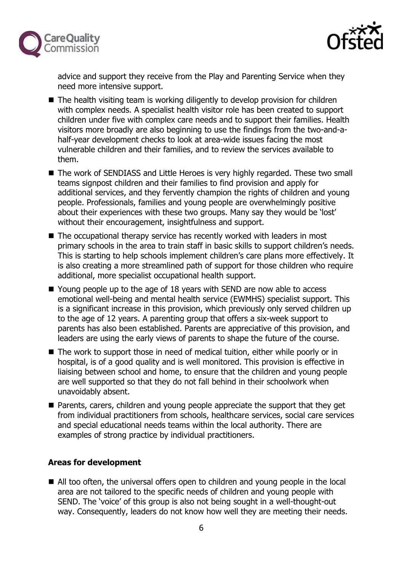



advice and support they receive from the Play and Parenting Service when they need more intensive support.

- $\blacksquare$  The health visiting team is working diligently to develop provision for children with complex needs. A specialist health visitor role has been created to support children under five with complex care needs and to support their families. Health visitors more broadly are also beginning to use the findings from the two-and-ahalf-year development checks to look at area-wide issues facing the most vulnerable children and their families, and to review the services available to them.
- The work of SENDIASS and Little Heroes is very highly regarded. These two small teams signpost children and their families to find provision and apply for additional services, and they fervently champion the rights of children and young people. Professionals, families and young people are overwhelmingly positive about their experiences with these two groups. Many say they would be 'lost' without their encouragement, insightfulness and support.
- The occupational therapy service has recently worked with leaders in most primary schools in the area to train staff in basic skills to support children's needs. This is starting to help schools implement children's care plans more effectively. It is also creating a more streamlined path of support for those children who require additional, more specialist occupational health support.
- Young people up to the age of 18 years with SEND are now able to access emotional well-being and mental health service (EWMHS) specialist support. This is a significant increase in this provision, which previously only served children up to the age of 12 years. A parenting group that offers a six-week support to parents has also been established. Parents are appreciative of this provision, and leaders are using the early views of parents to shape the future of the course.
- The work to support those in need of medical tuition, either while poorly or in hospital, is of a good quality and is well monitored. This provision is effective in liaising between school and home, to ensure that the children and young people are well supported so that they do not fall behind in their schoolwork when unavoidably absent.
- Parents, carers, children and young people appreciate the support that they get from individual practitioners from schools, healthcare services, social care services and special educational needs teams within the local authority. There are examples of strong practice by individual practitioners.

# **Areas for development**

■ All too often, the universal offers open to children and young people in the local area are not tailored to the specific needs of children and young people with SEND. The 'voice' of this group is also not being sought in a well-thought-out way. Consequently, leaders do not know how well they are meeting their needs.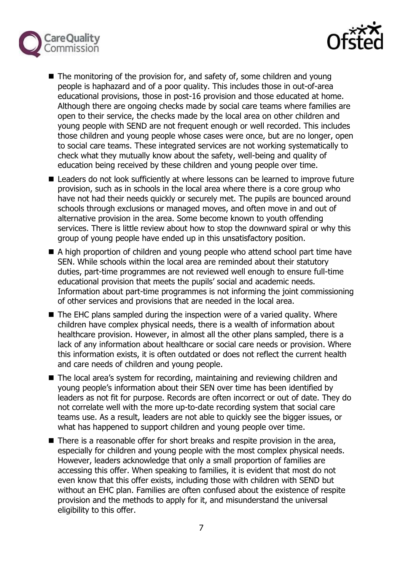



- $\blacksquare$  The monitoring of the provision for, and safety of, some children and young people is haphazard and of a poor quality. This includes those in out-of-area educational provisions, those in post-16 provision and those educated at home. Although there are ongoing checks made by social care teams where families are open to their service, the checks made by the local area on other children and young people with SEND are not frequent enough or well recorded. This includes those children and young people whose cases were once, but are no longer, open to social care teams. These integrated services are not working systematically to check what they mutually know about the safety, well-being and quality of education being received by these children and young people over time.
- Leaders do not look sufficiently at where lessons can be learned to improve future provision, such as in schools in the local area where there is a core group who have not had their needs quickly or securely met. The pupils are bounced around schools through exclusions or managed moves, and often move in and out of alternative provision in the area. Some become known to youth offending services. There is little review about how to stop the downward spiral or why this group of young people have ended up in this unsatisfactory position.
- A high proportion of children and young people who attend school part time have SEN. While schools within the local area are reminded about their statutory duties, part-time programmes are not reviewed well enough to ensure full-time educational provision that meets the pupils' social and academic needs. Information about part-time programmes is not informing the joint commissioning of other services and provisions that are needed in the local area.
- The EHC plans sampled during the inspection were of a varied quality. Where children have complex physical needs, there is a wealth of information about healthcare provision. However, in almost all the other plans sampled, there is a lack of any information about healthcare or social care needs or provision. Where this information exists, it is often outdated or does not reflect the current health and care needs of children and young people.
- The local area's system for recording, maintaining and reviewing children and young people's information about their SEN over time has been identified by leaders as not fit for purpose. Records are often incorrect or out of date. They do not correlate well with the more up-to-date recording system that social care teams use. As a result, leaders are not able to quickly see the bigger issues, or what has happened to support children and young people over time.
- There is a reasonable offer for short breaks and respite provision in the area, especially for children and young people with the most complex physical needs. However, leaders acknowledge that only a small proportion of families are accessing this offer. When speaking to families, it is evident that most do not even know that this offer exists, including those with children with SEND but without an EHC plan. Families are often confused about the existence of respite provision and the methods to apply for it, and misunderstand the universal eligibility to this offer.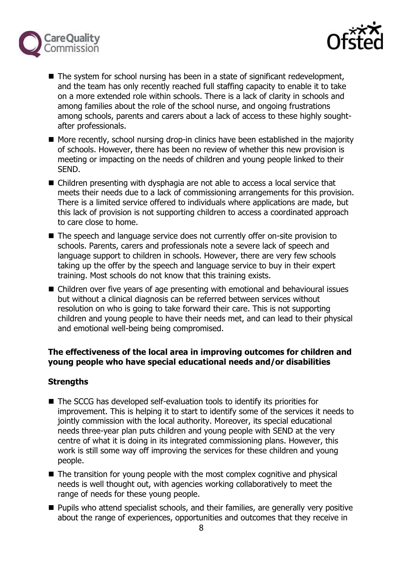



- The system for school nursing has been in a state of significant redevelopment, and the team has only recently reached full staffing capacity to enable it to take on a more extended role within schools. There is a lack of clarity in schools and among families about the role of the school nurse, and ongoing frustrations among schools, parents and carers about a lack of access to these highly soughtafter professionals.
- More recently, school nursing drop-in clinics have been established in the majority of schools. However, there has been no review of whether this new provision is meeting or impacting on the needs of children and young people linked to their SEND.
- Children presenting with dysphagia are not able to access a local service that meets their needs due to a lack of commissioning arrangements for this provision. There is a limited service offered to individuals where applications are made, but this lack of provision is not supporting children to access a coordinated approach to care close to home.
- The speech and language service does not currently offer on-site provision to schools. Parents, carers and professionals note a severe lack of speech and language support to children in schools. However, there are very few schools taking up the offer by the speech and language service to buy in their expert training. Most schools do not know that this training exists.
- Children over five years of age presenting with emotional and behavioural issues but without a clinical diagnosis can be referred between services without resolution on who is going to take forward their care. This is not supporting children and young people to have their needs met, and can lead to their physical and emotional well-being being compromised.

# **The effectiveness of the local area in improving outcomes for children and young people who have special educational needs and/or disabilities**

# **Strengths**

- The SCCG has developed self-evaluation tools to identify its priorities for improvement. This is helping it to start to identify some of the services it needs to jointly commission with the local authority. Moreover, its special educational needs three-year plan puts children and young people with SEND at the very centre of what it is doing in its integrated commissioning plans. However, this work is still some way off improving the services for these children and young people.
- The transition for young people with the most complex cognitive and physical needs is well thought out, with agencies working collaboratively to meet the range of needs for these young people.
- **Pupils who attend specialist schools, and their families, are generally very positive** about the range of experiences, opportunities and outcomes that they receive in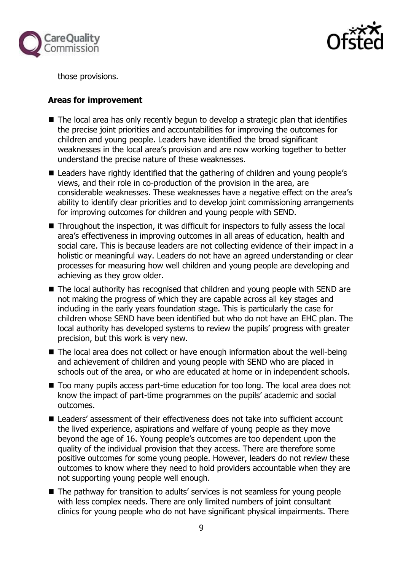



those provisions.

#### **Areas for improvement**

- The local area has only recently begun to develop a strategic plan that identifies the precise joint priorities and accountabilities for improving the outcomes for children and young people. Leaders have identified the broad significant weaknesses in the local area's provision and are now working together to better understand the precise nature of these weaknesses.
- Leaders have rightly identified that the gathering of children and young people's views, and their role in co-production of the provision in the area, are considerable weaknesses. These weaknesses have a negative effect on the area's ability to identify clear priorities and to develop joint commissioning arrangements for improving outcomes for children and young people with SEND.
- Throughout the inspection, it was difficult for inspectors to fully assess the local area's effectiveness in improving outcomes in all areas of education, health and social care. This is because leaders are not collecting evidence of their impact in a holistic or meaningful way. Leaders do not have an agreed understanding or clear processes for measuring how well children and young people are developing and achieving as they grow older.
- The local authority has recognised that children and young people with SEND are not making the progress of which they are capable across all key stages and including in the early years foundation stage. This is particularly the case for children whose SEND have been identified but who do not have an EHC plan. The local authority has developed systems to review the pupils' progress with greater precision, but this work is very new.
- The local area does not collect or have enough information about the well-being and achievement of children and young people with SEND who are placed in schools out of the area, or who are educated at home or in independent schools.
- Too many pupils access part-time education for too long. The local area does not know the impact of part-time programmes on the pupils' academic and social outcomes.
- Leaders' assessment of their effectiveness does not take into sufficient account the lived experience, aspirations and welfare of young people as they move beyond the age of 16. Young people's outcomes are too dependent upon the quality of the individual provision that they access. There are therefore some positive outcomes for some young people. However, leaders do not review these outcomes to know where they need to hold providers accountable when they are not supporting young people well enough.
- The pathway for transition to adults' services is not seamless for young people with less complex needs. There are only limited numbers of joint consultant clinics for young people who do not have significant physical impairments. There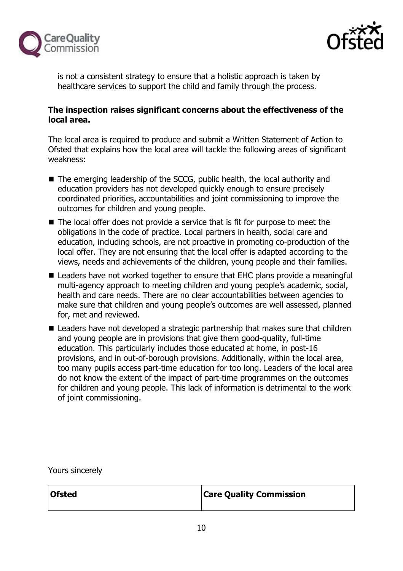



is not a consistent strategy to ensure that a holistic approach is taken by healthcare services to support the child and family through the process.

# **The inspection raises significant concerns about the effectiveness of the local area.**

The local area is required to produce and submit a Written Statement of Action to Ofsted that explains how the local area will tackle the following areas of significant weakness:

- The emerging leadership of the SCCG, public health, the local authority and education providers has not developed quickly enough to ensure precisely coordinated priorities, accountabilities and joint commissioning to improve the outcomes for children and young people.
- $\blacksquare$  The local offer does not provide a service that is fit for purpose to meet the obligations in the code of practice. Local partners in health, social care and education, including schools, are not proactive in promoting co-production of the local offer. They are not ensuring that the local offer is adapted according to the views, needs and achievements of the children, young people and their families.
- Leaders have not worked together to ensure that EHC plans provide a meaningful multi-agency approach to meeting children and young people's academic, social, health and care needs. There are no clear accountabilities between agencies to make sure that children and young people's outcomes are well assessed, planned for, met and reviewed.
- Leaders have not developed a strategic partnership that makes sure that children and young people are in provisions that give them good-quality, full-time education. This particularly includes those educated at home, in post-16 provisions, and in out-of-borough provisions. Additionally, within the local area, too many pupils access part-time education for too long. Leaders of the local area do not know the extent of the impact of part-time programmes on the outcomes for children and young people. This lack of information is detrimental to the work of joint commissioning.

Yours sincerely

**Ofsted Care Quality Commission**